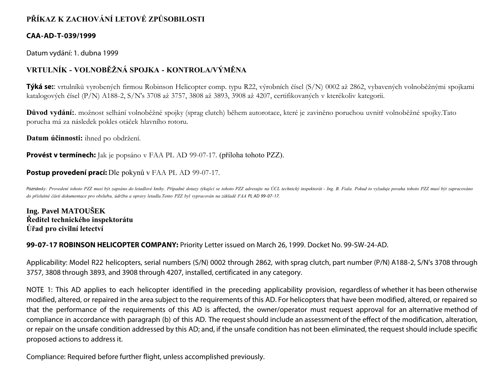## **PŘÍKAZ K ZACHOVÁNÍ LETOVÉ ZPŮSOBILOSTI**

### **CAA-AD-T-039/1999**

Datum vydání: 1. dubna 1999

# **VRTULNÍK - VOLNOBĚŽNÁ SPOJKA - KONTROLA/VÝMĚNA**

**Týká se:**: vrtulníků vyrobených firmou Robinson Helicopter comp. typu R22, výrobních čísel (S/N) 0002 až 2862, vybavených volnoběžnými spojkami katalogových čísel (P/N) A188-2, S/N's 3708 až 3757, 3808 až 3893, 3908 až 4207, certifikovaných v kterékoliv kategorii.

**Důvod vydání:**. možnost selhání volnoběžné spojky (sprag clutch) během autorotace, které je zaviněno poruchou uvnitř volnoběžné spojky.Tato porucha má za následek pokles otáček hlavního rotoru.

**Datum účinnosti:** ihned po obdržení.

**Provést v termínech:** Jak je popsáno v FAA PL AD 99-07-17. (příloha tohoto PZZ).

### **Postup provedení prací:** Dle pokynů v FAA PL AD 99-07-17.

Poznámky: Provedení tohoto PZZ musí být zapsáno do letadlové knihy. Případné dotazy týkající se tohoto PZZ adresujte na ÚCL technický inspektorát - Ing. B. Fiala. Pokud to vyžaduje povaha tohoto PZZ musí být zapracováno *do příslušné části dokumentace pro obsluhu, údržbu a opravy letadla.Tento PZZ byl vypracován na základě FAA PL AD 99- 07- 17.*

**Ing. Pavel MATOUŠEK Ředitel technického inspektorátu Úřad pro civilní letectví**

**99-07-17 ROBINSON HELICOPTER COMPANY:** Priority Letter issued on March 26, 1999. Docket No. 99-SW-24-AD.

Applicability: Model R22 helicopters, serial numbers (S/N) 0002 through 2862, with sprag clutch, part number (P/N) A188-2, S/N's 3708 through 3757, 3808 through 3893, and 3908 through 4207, installed, certificated in any category.

NOTE 1: This AD applies to each helicopter identified in the preceding applicability provision, regardless of whether it has been otherwise modified, altered, or repaired in the area subject to the requirements of this AD. For helicopters that have been modified, altered, or repaired so that the performance of the requirements of this AD is affected, the owner/operator must request approval for an alternative method of compliance in accordance with paragraph (b) of this AD. The request should include an assessment of the effect of the modification, alteration, or repair on the unsafe condition addressed by this AD; and, if the unsafe condition has not been eliminated, the request should include specific proposed actions to address it.

Compliance: Required before further flight, unless accomplished previously.